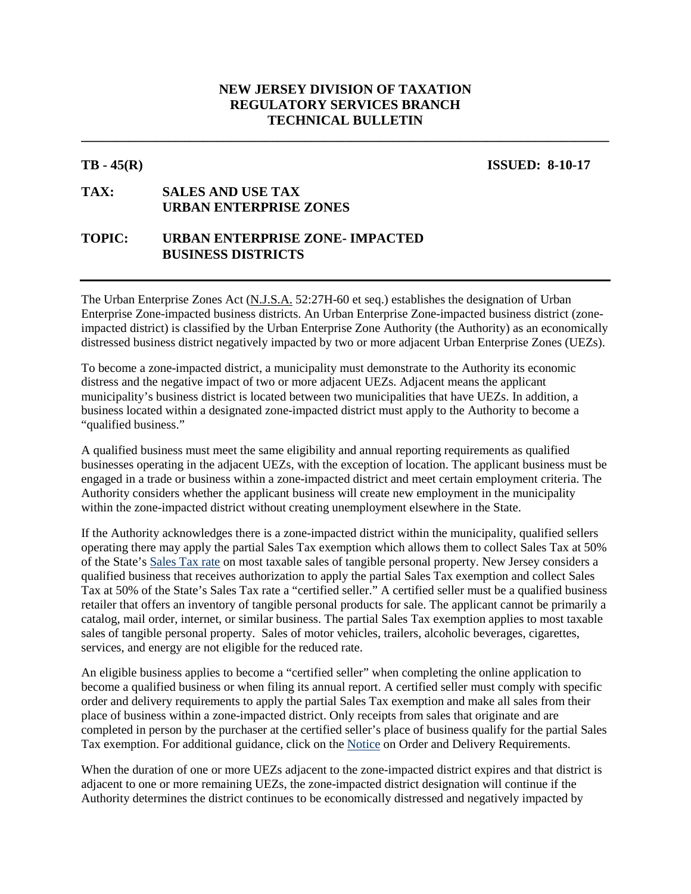# **NEW JERSEY DIVISION OF TAXATION REGULATORY SERVICES BRANCH TECHNICAL BULLETIN**

**\_\_\_\_\_\_\_\_\_\_\_\_\_\_\_\_\_\_\_\_\_\_\_\_\_\_\_\_\_\_\_\_\_\_\_\_\_\_\_\_\_\_\_\_\_\_\_\_\_\_\_\_\_\_\_\_\_\_\_\_\_\_\_\_\_\_\_\_\_\_\_\_\_\_\_\_\_\_**

### **TB - 45(R) ISSUED: 8-10-17**

# **TAX: SALES AND USE TAX URBAN ENTERPRISE ZONES**

# **TOPIC: URBAN ENTERPRISE ZONE- IMPACTED BUSINESS DISTRICTS**

The Urban Enterprise Zones Act (N.J.S.A. 52:27H-60 et seq.) establishes the designation of Urban Enterprise Zone-impacted business districts. An Urban Enterprise Zone-impacted business district (zoneimpacted district) is classified by the Urban Enterprise Zone Authority (the Authority) as an economically distressed business district negatively impacted by two or more adjacent Urban Enterprise Zones (UEZs).

To become a zone-impacted district, a municipality must demonstrate to the Authority its economic distress and the negative impact of two or more adjacent UEZs. Adjacent means the applicant municipality's business district is located between two municipalities that have UEZs. In addition, a business located within a designated zone-impacted district must apply to the Authority to become a "qualified business."

A qualified business must meet the same eligibility and annual reporting requirements as qualified businesses operating in the adjacent UEZs, with the exception of location. The applicant business must be engaged in a trade or business within a zone-impacted district and meet certain employment criteria. The Authority considers whether the applicant business will create new employment in the municipality within the zone-impacted district without creating unemployment elsewhere in the State.

If the Authority acknowledges there is a zone-impacted district within the municipality, qualified sellers operating there may apply the partial Sales Tax exemption which allows them to collect Sales Tax at 50% of the State's [Sales Tax rate](http://www.state.nj.us/treasury/taxation/su-change.shtml) on most taxable sales of tangible personal property. New Jersey considers a qualified business that receives authorization to apply the partial Sales Tax exemption and collect Sales Tax at 50% of the State's Sales Tax rate a "certified seller." A certified seller must be a qualified business retailer that offers an inventory of tangible personal products for sale. The applicant cannot be primarily a catalog, mail order, internet, or similar business. The partial Sales Tax exemption applies to most taxable sales of tangible personal property. Sales of motor vehicles, trailers, alcoholic beverages, cigarettes, services, and energy are not eligible for the reduced rate.

An eligible business applies to become a "certified seller" when completing the online application to become a qualified business or when filing its annual report. A certified seller must comply with specific order and delivery requirements to apply the partial Sales Tax exemption and make all sales from their place of business within a zone-impacted district. Only receipts from sales that originate and are completed in person by the purchaser at the certified seller's place of business qualify for the partial Sales Tax exemption. For additional guidance, click on the [Notice](http://www.state.nj.us/treasury/taxation/uez3ptrl.shtml) on Order and Delivery Requirements.

When the duration of one or more UEZs adjacent to the zone-impacted district expires and that district is adjacent to one or more remaining UEZs, the zone-impacted district designation will continue if the Authority determines the district continues to be economically distressed and negatively impacted by